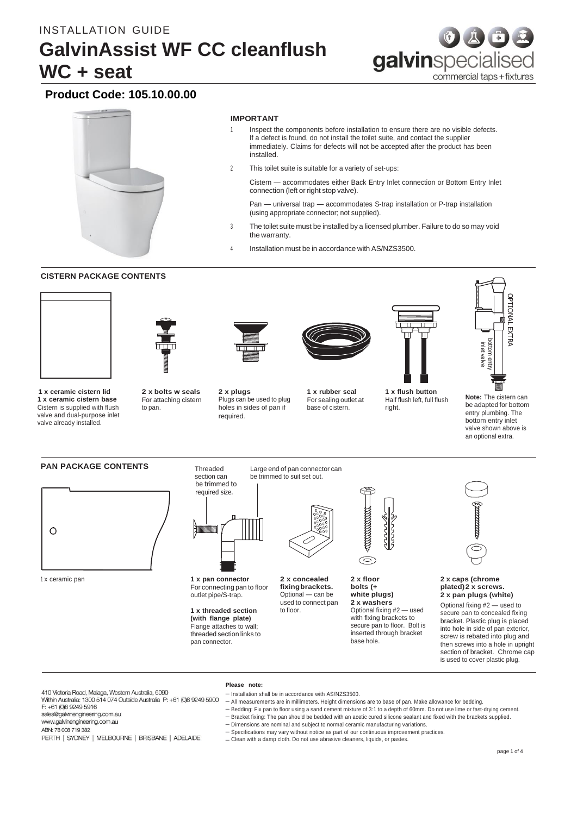

# **Product Code: 105.10.00.00**



# **IMPORTANT**

- Inspect the components before installation to ensure there are no visible defects. If a defect is found, do not install the toilet suite, and contact the supplier immediately. Claims for defects will not be accepted after the product has been installed.
- 2 This toilet suite is suitable for a variety of set-ups:

Cistern — accommodates either Back Entry Inlet connection or Bottom Entry Inlet connection (left or right stop valve).

Pan — universal trap — accommodates S-trap installation or P-trap installation (using appropriate connector; not supplied).

- <sup>3</sup> The toilet suite must be installed by a licensed plumber. Failure to do so may void the warranty.
- Installation must be in accordance with AS/NZS3500.

# **CISTERN PACKAGE CONTENTS**



 **1 x ceramic cistern lid 1 x ceramic cistern base** Cistern is supplied with flush valve and dual-purpose inlet valve already installed.



**2 x bolts w seals** For attaching cistern

to pan.



Plugs can be used to plug holes in sides of pan if required.



**1 x rubber seal** For sealing outlet at base of cistern.

**1 x flush button** Half flush left, full flush

right.



**Note:** The cistern can be adapted for bottom entry plumbing. The bottom entry inlet valve shown above is an optional extra.

#### **PAN PACKAGE CONTENTS** Threaded



<sup>1</sup> x ceramic pan **1 x pan connector**



section can

For connecting pan to floor outlet pipe/S-trap.

**1 x threaded section (with flange plate)** Flange attaches to wall; threaded section links to pan connector.

**Please note:**



**2 x concealed fixingbrackets.** Optional — can be used to connect pan to floor.

– Installation shall be in accordance with AS/NZS3500.

Large end of pan connector can be trimmed to suit set out.



**2 x floor bolts (+ white plugs) 2 x washers** Optional fixing #2 — used with fixing brackets to secure pan to floor. Bolt is inserted through bracket base hole.



#### **2 x caps (chrome plated)2 x screws. 2 x pan plugs (white)**

Optional fixing #2 — used to secure pan to concealed fixing bracket. Plastic plug is placed into hole in side of pan exterior, screw is rebated into plug and then screws into a hole in upright section of bracket. Chrome cap is used to cover plastic plug.

410 Victoria Road, Malaga, Western Australia, 6090<br>Within Australia: 1300 514 074 Outside Australia P: +61 (0)8 9249 5900

# F: +61 (0)8 9249 5916

sales@galvinengineering.com.au

www.galvinengineering.com.au

ABN: 78 008 719 382

- PERTH | SYDNEY | MELBOURNE | BRISBANE | ADELAIDE
- Bedding: Fix pan to floor using a sand cement mixture of 3:1 to a depth of 60mm. Do not use lime or fast-drying cement. – Bracket fixing: The pan should be bedded with an acetic cured silicone sealant and fixed with the brackets supplied.
	- Dimensions are nominal and subject to normal ceramic manufacturing variations.

– All measurements are in millimeters. Height dimensions are to base of pan. Make allowance for bedding.

- Specifications may vary without notice as part of our continuous improvement practices.
- Clean with a damp cloth. Do not use abrasive cleaners, liquids, or pastes.

page 1 of 4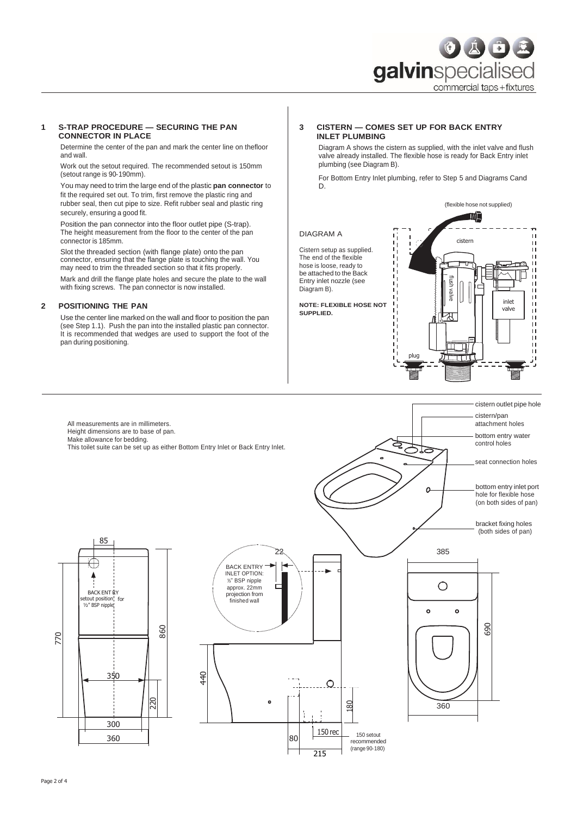

#### **1 S-TRAP PROCEDURE — SECURING THE PAN CONNECTOR IN PLACE**

Determine the center of the pan and mark the center line on thefloor and wall.

Work out the setout required. The recommended setout is 150mm (setout range is 90‑190mm).

You may need to trim the large end of the plastic **pan connector** to fit the required set out. To trim, first remove the plastic ring and rubber seal, then cut pipe to size. Refit rubber seal and plastic ring securely, ensuring a good fit.

Position the pan connector into the floor outlet pipe (S-trap). The height measurement from the floor to the center of the pan connector is 185mm.

Slot the threaded section (with flange plate) onto the pan connector, ensuring that the flange plate is touching the wall. You may need to trim the threaded section so that it fits properly.

Mark and drill the flange plate holes and secure the plate to the wall with fixing screws. The pan connector is now installed.

## **2 POSITIONING THE PAN**

Use the center line marked on the wall and floor to position the pan (see Step 1.1). Push the pan into the installed plastic pan connector. It is recommended that wedges are used to support the foot of the pan during positioning.

# **3 CISTERN — COMES SET UP FOR BACK ENTRY INLET PLUMBING**

Diagram A shows the cistern as supplied, with the inlet valve and flush valve already installed. The flexible hose is ready for Back Entry inlet plumbing (see Diagram B).

For Bottom Entry Inlet plumbing, refer to Step 5 and Diagrams Cand D.

(flexible hose not supplied)

#### DIAGRAM A

Cistern setup as supplied. The end of the flexible hose is loose, ready to be attached to the Back Entry inlet nozzle (see Diagram B).

**NOTE: FLEXIBLE HOSE NOT SUPPLIED.**



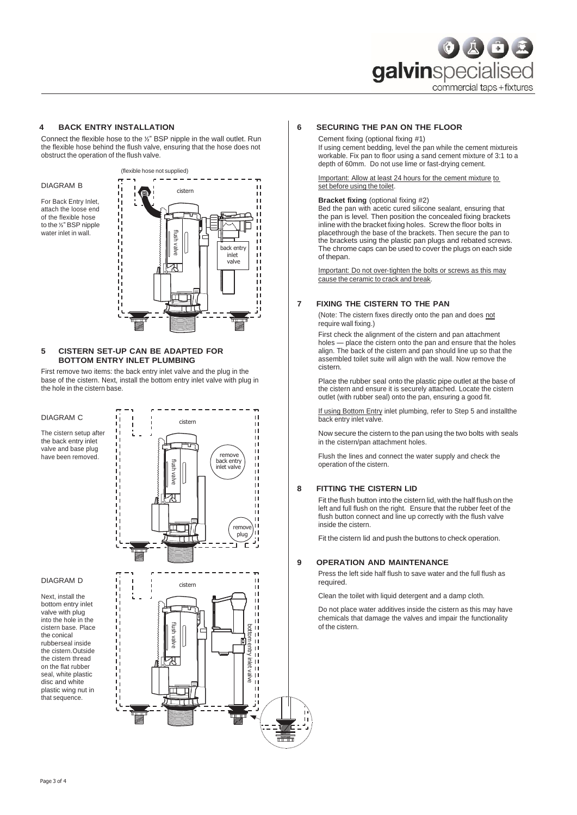

# **4 BACK ENTRY INSTALLATION**

Connect the flexible hose to the ½" BSP nipple in the wall outlet. Run the flexible hose behind the flush valve, ensuring that the hose does not obstruct the operation of the flush valve.

DIAGRAM B

For Back Entry Inlet, attach the loose end of the flexible hose to the ½" BSP nipple water inlet in wall.



## **5 CISTERN SET-UP CAN BE ADAPTED FOR BOTTOM ENTRY INLET PLUMBING**

First remove two items: the back entry inlet valve and the plug in the base of the cistern. Next, install the bottom entry inlet valve with plug in the hole in the cistern base.

## DIAGRAM C

The cistern setup after the back entry inlet valve and base plug have been removed.



#### DIAGRAM D

Next, install the bottom entry inlet valve with plug into the hole in the cistern base. Place the conical rubberseal inside the cistern.Outside the cistern thread on the flat rubber seal, white plastic disc and white plastic wing nut in that sequence.



## **6 SECURING THE PAN ON THE FLOOR**

Cement fixing (optional fixing #1)

If using cement bedding, level the pan while the cement mixtureis workable. Fix pan to floor using a sand cement mixture of 3:1 to a depth of 60mm. Do not use lime or fast-drying cement.

Important: Allow at least 24 hours for the cement mixture to set before using the toilet.

### **Bracket fixing** (optional fixing #2)

Bed the pan with acetic cured silicone sealant, ensuring that the pan is level. Then position the concealed fixing brackets inline with the bracket fixing holes. Screw the floor bolts in placethrough the base of the brackets. Then secure the pan to the brackets using the plastic pan plugs and rebated screws. The chrome caps can be used to cover the plugs on each side of thepan.

Important: Do not over-tighten the bolts or screws as this may cause the ceramic to crack and break.

#### **7 FIXING THE CISTERN TO THE PAN**

(Note: The cistern fixes directly onto the pan and does not require wall fixing.)

First check the alignment of the cistern and pan attachment holes — place the cistern onto the pan and ensure that the holes align. The back of the cistern and pan should line up so that the assembled toilet suite will align with the wall. Now remove the cistern.

Place the rubber seal onto the plastic pipe outlet at the base of the cistern and ensure it is securely attached. Locate the cistern outlet (with rubber seal) onto the pan, ensuring a good fit.

If using Bottom Entry inlet plumbing, refer to Step 5 and installthe back entry inlet valve.

Now secure the cistern to the pan using the two bolts with seals in the cistern/pan attachment holes.

Flush the lines and connect the water supply and check the operation of the cistern.

# **8 FITTING THE CISTERN LID**

Fit the flush button into the cistern lid, with the half flush on the left and full flush on the right. Ensure that the rubber feet of the flush button connect and line up correctly with the flush valve inside the cistern.

Fit the cistern lid and push the buttons to check operation.

### **9 OPERATION AND MAINTENANCE**

Press the left side half flush to save water and the full flush as required.

Clean the toilet with liquid detergent and a damp cloth.

Do not place water additives inside the cistern as this may have chemicals that damage the valves and impair the functionality of the cistern.